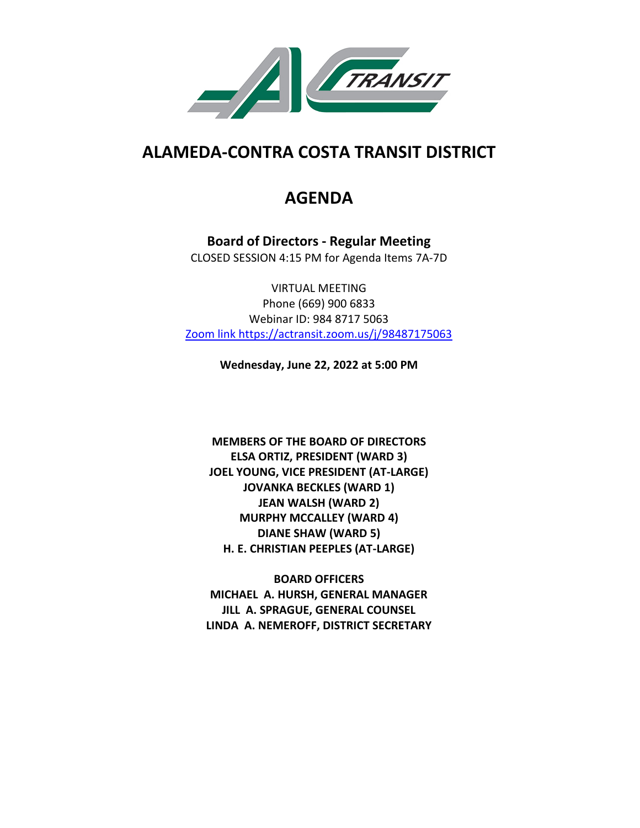

# **ALAMEDA-CONTRA COSTA TRANSIT DISTRICT**

# **AGENDA**

**Board of Directors - Regular Meeting** CLOSED SESSION 4:15 PM for Agenda Items 7A-7D

VIRTUAL MEETING Phone (669) 900 6833 Webinar ID: 984 8717 5063 Zoom link https://actransit.zoom.us/j/98487175063

**Wednesday, June 22, 2022 at 5:00 PM**

**MEMBERS OF THE BOARD OF DIRECTORS ELSA ORTIZ, PRESIDENT (WARD 3) JOEL YOUNG, VICE PRESIDENT (AT-LARGE) JOVANKA BECKLES (WARD 1) JEAN WALSH (WARD 2) MURPHY MCCALLEY (WARD 4) DIANE SHAW (WARD 5) H. E. CHRISTIAN PEEPLES (AT-LARGE)**

**BOARD OFFICERS MICHAEL A. HURSH, GENERAL MANAGER JILL A. SPRAGUE, GENERAL COUNSEL LINDA A. NEMEROFF, DISTRICT SECRETARY**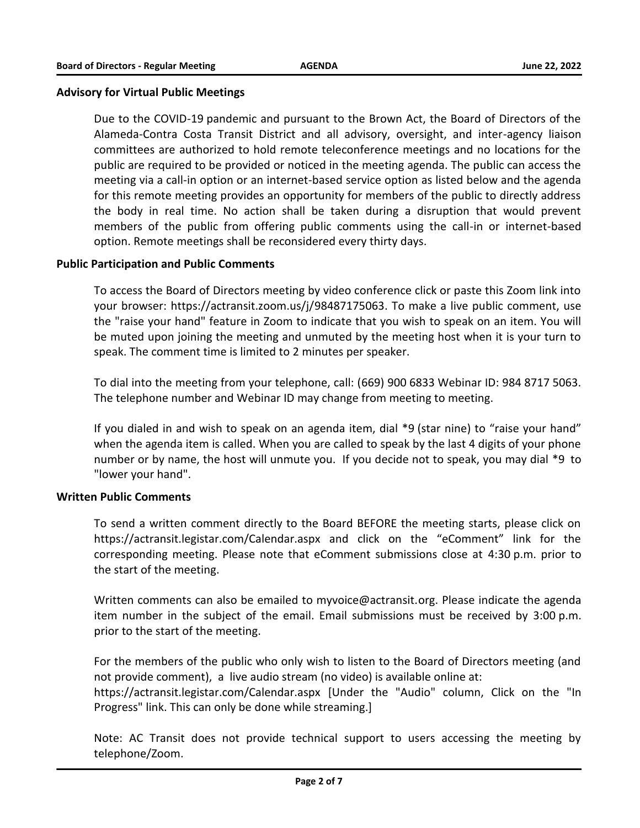# **Advisory for Virtual Public Meetings**

Due to the COVID-19 pandemic and pursuant to the Brown Act, the Board of Directors of the Alameda-Contra Costa Transit District and all advisory, oversight, and inter-agency liaison committees are authorized to hold remote teleconference meetings and no locations for the public are required to be provided or noticed in the meeting agenda. The public can access the meeting via a call-in option or an internet-based service option as listed below and the agenda for this remote meeting provides an opportunity for members of the public to directly address the body in real time. No action shall be taken during a disruption that would prevent members of the public from offering public comments using the call-in or internet-based option. Remote meetings shall be reconsidered every thirty days.

# **Public Participation and Public Comments**

To access the Board of Directors meeting by video conference click or paste this Zoom link into your browser: https://actransit.zoom.us/j/98487175063. To make a live public comment, use the "raise your hand" feature in Zoom to indicate that you wish to speak on an item. You will be muted upon joining the meeting and unmuted by the meeting host when it is your turn to speak. The comment time is limited to 2 minutes per speaker.

To dial into the meeting from your telephone, call: (669) 900 6833 Webinar ID: 984 8717 5063. The telephone number and Webinar ID may change from meeting to meeting.

If you dialed in and wish to speak on an agenda item, dial \*9 (star nine) to "raise your hand" when the agenda item is called. When you are called to speak by the last 4 digits of your phone number or by name, the host will unmute you. If you decide not to speak, you may dial \*9 to "lower your hand".

## **Written Public Comments**

To send a written comment directly to the Board BEFORE the meeting starts, please click on https://actransit.legistar.com/Calendar.aspx and click on the "eComment" link for the corresponding meeting. Please note that eComment submissions close at 4:30 p.m. prior to the start of the meeting.

Written comments can also be emailed to myvoice@actransit.org. Please indicate the agenda item number in the subject of the email. Email submissions must be received by 3:00 p.m. prior to the start of the meeting.

For the members of the public who only wish to listen to the Board of Directors meeting (and not provide comment), a live audio stream (no video) is available online at: https://actransit.legistar.com/Calendar.aspx [Under the "Audio" column, Click on the "In Progress" link. This can only be done while streaming.]

Note: AC Transit does not provide technical support to users accessing the meeting by telephone/Zoom.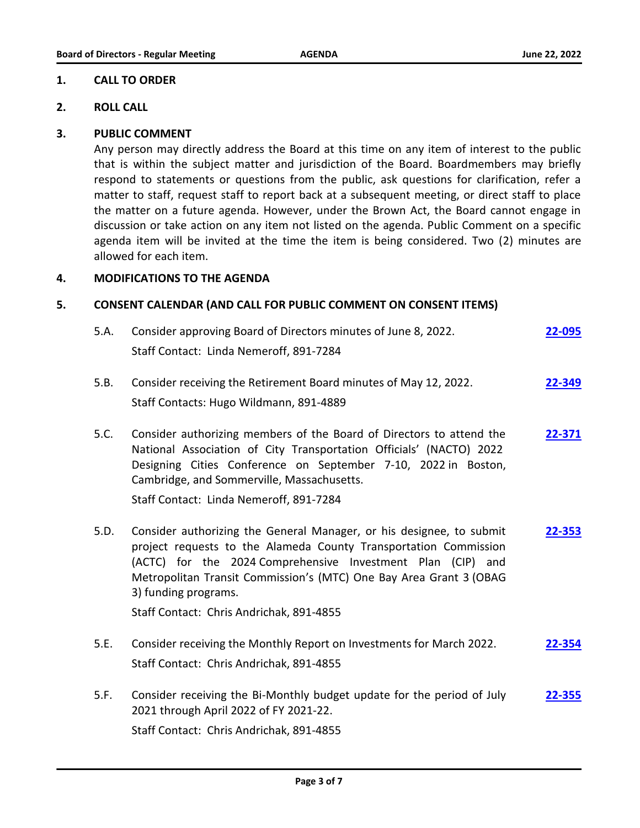#### **1. CALL TO ORDER**

#### **2. ROLL CALL**

#### **3. PUBLIC COMMENT**

Any person may directly address the Board at this time on any item of interest to the public that is within the subject matter and jurisdiction of the Board. Boardmembers may briefly respond to statements or questions from the public, ask questions for clarification, refer a matter to staff, request staff to report back at a subsequent meeting, or direct staff to place the matter on a future agenda. However, under the Brown Act, the Board cannot engage in discussion or take action on any item not listed on the agenda. Public Comment on a specific agenda item will be invited at the time the item is being considered. Two (2) minutes are allowed for each item.

# **4. MODIFICATIONS TO THE AGENDA**

## **5. CONSENT CALENDAR (AND CALL FOR PUBLIC COMMENT ON CONSENT ITEMS)**

| 5.A. | Consider approving Board of Directors minutes of June 8, 2022.<br>Staff Contact: Linda Nemeroff, 891-7284                                                                                                                                                                                                                                         | 22-095 |
|------|---------------------------------------------------------------------------------------------------------------------------------------------------------------------------------------------------------------------------------------------------------------------------------------------------------------------------------------------------|--------|
| 5.B. | Consider receiving the Retirement Board minutes of May 12, 2022.<br>Staff Contacts: Hugo Wildmann, 891-4889                                                                                                                                                                                                                                       | 22-349 |
| 5.C. | Consider authorizing members of the Board of Directors to attend the<br>National Association of City Transportation Officials' (NACTO) 2022<br>Designing Cities Conference on September 7-10, 2022 in Boston,<br>Cambridge, and Sommerville, Massachusetts.<br>Staff Contact: Linda Nemeroff, 891-7284                                            | 22-371 |
| 5.D. | Consider authorizing the General Manager, or his designee, to submit<br>project requests to the Alameda County Transportation Commission<br>(ACTC) for the 2024 Comprehensive Investment Plan (CIP) and<br>Metropolitan Transit Commission's (MTC) One Bay Area Grant 3 (OBAG<br>3) funding programs.<br>Staff Contact: Chris Andrichak, 891-4855 | 22-353 |
| 5.E. | Consider receiving the Monthly Report on Investments for March 2022.<br>Staff Contact: Chris Andrichak, 891-4855                                                                                                                                                                                                                                  | 22-354 |
| 5.F. | Consider receiving the Bi-Monthly budget update for the period of July<br>2021 through April 2022 of FY 2021-22.<br>Staff Contact: Chris Andrichak, 891-4855                                                                                                                                                                                      | 22-355 |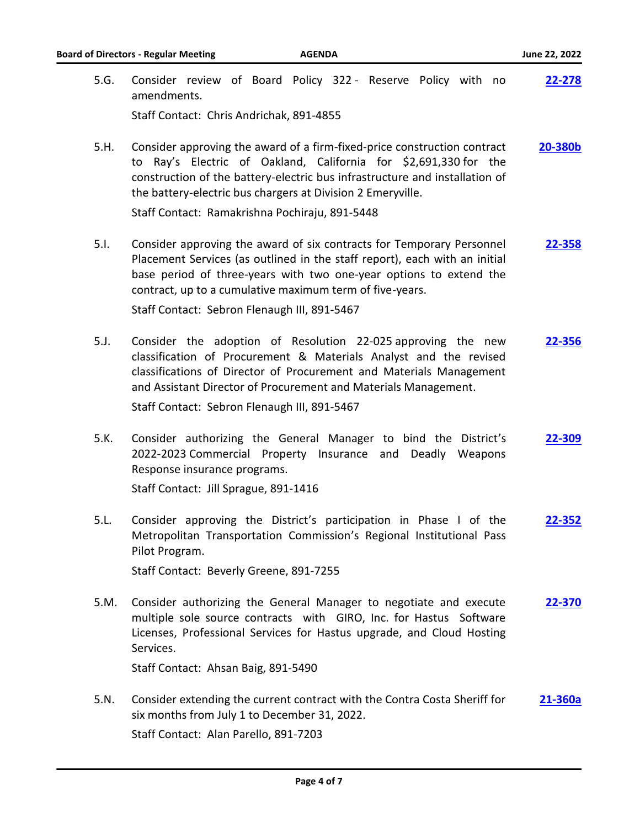| <b>Board of Directors - Regular Meeting</b><br><b>AGENDA</b> |                                                                                                                                                                                                                                                                                                                                              |         |  |  |
|--------------------------------------------------------------|----------------------------------------------------------------------------------------------------------------------------------------------------------------------------------------------------------------------------------------------------------------------------------------------------------------------------------------------|---------|--|--|
| 5.G.                                                         | Consider review of Board Policy 322 - Reserve Policy with no<br>amendments.                                                                                                                                                                                                                                                                  | 22-278  |  |  |
|                                                              | Staff Contact: Chris Andrichak, 891-4855                                                                                                                                                                                                                                                                                                     |         |  |  |
| 5.H.                                                         | Consider approving the award of a firm-fixed-price construction contract<br>to Ray's Electric of Oakland, California for \$2,691,330 for the<br>construction of the battery-electric bus infrastructure and installation of<br>the battery-electric bus chargers at Division 2 Emeryville.<br>Staff Contact: Ramakrishna Pochiraju, 891-5448 | 20-380b |  |  |
| 5.1.                                                         | Consider approving the award of six contracts for Temporary Personnel<br>Placement Services (as outlined in the staff report), each with an initial<br>base period of three-years with two one-year options to extend the<br>contract, up to a cumulative maximum term of five-years.                                                        | 22-358  |  |  |
|                                                              | Staff Contact: Sebron Flenaugh III, 891-5467                                                                                                                                                                                                                                                                                                 |         |  |  |
| 5.                                                           | Consider the adoption of Resolution 22-025 approving the new<br>classification of Procurement & Materials Analyst and the revised<br>classifications of Director of Procurement and Materials Management<br>and Assistant Director of Procurement and Materials Management.                                                                  | 22-356  |  |  |
|                                                              | Staff Contact: Sebron Flenaugh III, 891-5467                                                                                                                                                                                                                                                                                                 |         |  |  |
| 5.K.                                                         | Consider authorizing the General Manager to bind the District's<br>2022-2023 Commercial Property Insurance and Deadly Weapons<br>Response insurance programs.                                                                                                                                                                                | 22-309  |  |  |
|                                                              | Staff Contact: Jill Sprague, 891-1416                                                                                                                                                                                                                                                                                                        |         |  |  |
| 5.L.                                                         | Consider approving the District's participation in Phase I of the<br>Metropolitan Transportation Commission's Regional Institutional Pass<br>Pilot Program.                                                                                                                                                                                  | 22-352  |  |  |
|                                                              | Staff Contact: Beverly Greene, 891-7255                                                                                                                                                                                                                                                                                                      |         |  |  |
| 5.M.                                                         | Consider authorizing the General Manager to negotiate and execute<br>multiple sole source contracts with GIRO, Inc. for Hastus Software<br>Licenses, Professional Services for Hastus upgrade, and Cloud Hosting<br>Services.                                                                                                                | 22-370  |  |  |
|                                                              | Staff Contact: Ahsan Baig, 891-5490                                                                                                                                                                                                                                                                                                          |         |  |  |
| 5.N.                                                         | Consider extending the current contract with the Contra Costa Sheriff for<br>six months from July 1 to December 31, 2022.<br>Staff Contact: Alan Parello, 891-7203                                                                                                                                                                           | 21-360a |  |  |
|                                                              |                                                                                                                                                                                                                                                                                                                                              |         |  |  |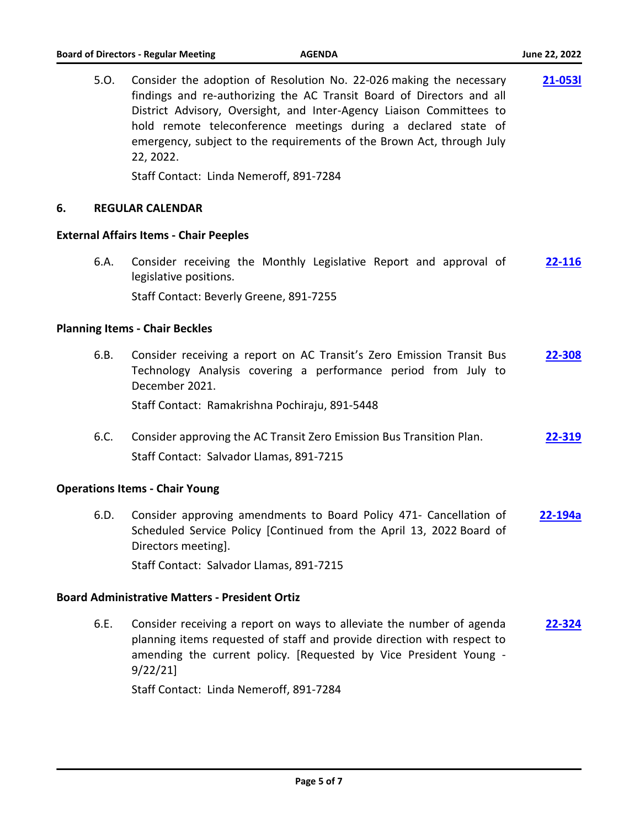|    | 5.0. | Consider the adoption of Resolution No. 22-026 making the necessary<br>findings and re-authorizing the AC Transit Board of Directors and all<br>District Advisory, Oversight, and Inter-Agency Liaison Committees to<br>hold remote teleconference meetings during a declared state of<br>emergency, subject to the requirements of the Brown Act, through July<br>22, 2022. | 21-0531 |
|----|------|------------------------------------------------------------------------------------------------------------------------------------------------------------------------------------------------------------------------------------------------------------------------------------------------------------------------------------------------------------------------------|---------|
|    |      | Staff Contact: Linda Nemeroff, 891-7284                                                                                                                                                                                                                                                                                                                                      |         |
| 6. |      | <b>REGULAR CALENDAR</b>                                                                                                                                                                                                                                                                                                                                                      |         |
|    |      | <b>External Affairs Items - Chair Peeples</b>                                                                                                                                                                                                                                                                                                                                |         |
|    | 6.A. | Consider receiving the Monthly Legislative Report and approval of<br>legislative positions.                                                                                                                                                                                                                                                                                  | 22-116  |
|    |      | Staff Contact: Beverly Greene, 891-7255                                                                                                                                                                                                                                                                                                                                      |         |
|    |      | <b>Planning Items - Chair Beckles</b>                                                                                                                                                                                                                                                                                                                                        |         |
|    | 6.B. | Consider receiving a report on AC Transit's Zero Emission Transit Bus<br>Technology Analysis covering a performance period from July to<br>December 2021.                                                                                                                                                                                                                    | 22-308  |
|    |      | Staff Contact: Ramakrishna Pochiraju, 891-5448                                                                                                                                                                                                                                                                                                                               |         |
|    | 6.C. | Consider approving the AC Transit Zero Emission Bus Transition Plan.<br>Staff Contact: Salvador Llamas, 891-7215                                                                                                                                                                                                                                                             | 22-319  |
|    |      | <b>Operations Items - Chair Young</b>                                                                                                                                                                                                                                                                                                                                        |         |
|    | 6.D. | Consider approving amendments to Board Policy 471- Cancellation of<br>Scheduled Service Policy [Continued from the April 13, 2022 Board of<br>Directors meeting].                                                                                                                                                                                                            | 22-194a |
|    |      | Staff Contact: Salvador Llamas, 891-7215                                                                                                                                                                                                                                                                                                                                     |         |
|    |      | <b>Board Administrative Matters - President Ortiz</b>                                                                                                                                                                                                                                                                                                                        |         |
|    | 6.E. | Consider receiving a report on ways to alleviate the number of agenda<br>planning items requested of staff and provide direction with respect to                                                                                                                                                                                                                             | 22-324  |

Staff Contact: Linda Nemeroff, 891-7284

9/22/21]

amending the current policy. [Requested by Vice President Young -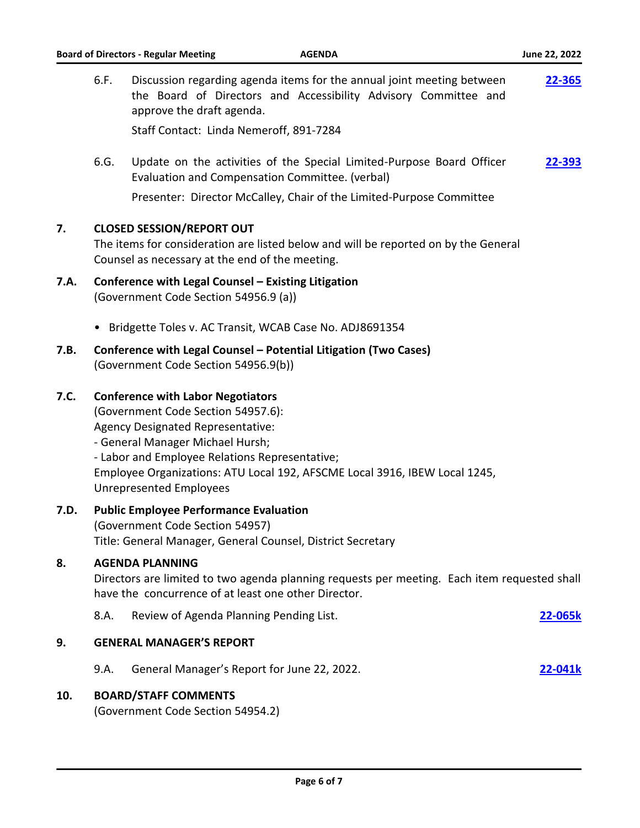| <b>Board of Directors - Regular Meeting</b><br><b>AGENDA</b> |                                                                                                                                                                                                                                                                                                                           |                                                                                                                                                                                                                   | June 22, 2022 |  |
|--------------------------------------------------------------|---------------------------------------------------------------------------------------------------------------------------------------------------------------------------------------------------------------------------------------------------------------------------------------------------------------------------|-------------------------------------------------------------------------------------------------------------------------------------------------------------------------------------------------------------------|---------------|--|
|                                                              | 6.F.                                                                                                                                                                                                                                                                                                                      | Discussion regarding agenda items for the annual joint meeting between<br>the Board of Directors and Accessibility Advisory Committee and<br>approve the draft agenda.<br>Staff Contact: Linda Nemeroff, 891-7284 | <u>22-365</u> |  |
|                                                              | 6.G.                                                                                                                                                                                                                                                                                                                      | Update on the activities of the Special Limited-Purpose Board Officer<br>Evaluation and Compensation Committee. (verbal)                                                                                          | <u>22-393</u> |  |
|                                                              |                                                                                                                                                                                                                                                                                                                           | Presenter: Director McCalley, Chair of the Limited-Purpose Committee                                                                                                                                              |               |  |
| 7.                                                           | <b>CLOSED SESSION/REPORT OUT</b><br>The items for consideration are listed below and will be reported on by the General<br>Counsel as necessary at the end of the meeting.                                                                                                                                                |                                                                                                                                                                                                                   |               |  |
| 7.A.                                                         | Conference with Legal Counsel - Existing Litigation<br>(Government Code Section 54956.9 (a))                                                                                                                                                                                                                              |                                                                                                                                                                                                                   |               |  |
|                                                              |                                                                                                                                                                                                                                                                                                                           | Bridgette Toles v. AC Transit, WCAB Case No. ADJ8691354                                                                                                                                                           |               |  |
| 7.B.                                                         | Conference with Legal Counsel - Potential Litigation (Two Cases)<br>(Government Code Section 54956.9(b))                                                                                                                                                                                                                  |                                                                                                                                                                                                                   |               |  |
| 7.C.                                                         | <b>Conference with Labor Negotiators</b><br>(Government Code Section 54957.6):<br>Agency Designated Representative:<br>- General Manager Michael Hursh;<br>- Labor and Employee Relations Representative;<br>Employee Organizations: ATU Local 192, AFSCME Local 3916, IBEW Local 1245,<br><b>Unrepresented Employees</b> |                                                                                                                                                                                                                   |               |  |
| 7.D.                                                         | <b>Public Employee Performance Evaluation</b><br>(Government Code Section 54957)<br>Title: General Manager, General Counsel, District Secretary                                                                                                                                                                           |                                                                                                                                                                                                                   |               |  |
| 8.                                                           | <b>AGENDA PLANNING</b><br>Directors are limited to two agenda planning requests per meeting. Each item requested shall<br>have the concurrence of at least one other Director.                                                                                                                                            |                                                                                                                                                                                                                   |               |  |
|                                                              | 8.A.                                                                                                                                                                                                                                                                                                                      | Review of Agenda Planning Pending List.                                                                                                                                                                           | 22-065k       |  |
| 9.                                                           | <b>GENERAL MANAGER'S REPORT</b>                                                                                                                                                                                                                                                                                           |                                                                                                                                                                                                                   |               |  |
|                                                              | 9.A.                                                                                                                                                                                                                                                                                                                      | General Manager's Report for June 22, 2022.                                                                                                                                                                       | 22-041k       |  |
| 10.                                                          |                                                                                                                                                                                                                                                                                                                           | <b>BOARD/STAFF COMMENTS</b><br>(Government Code Section 54954.2)                                                                                                                                                  |               |  |